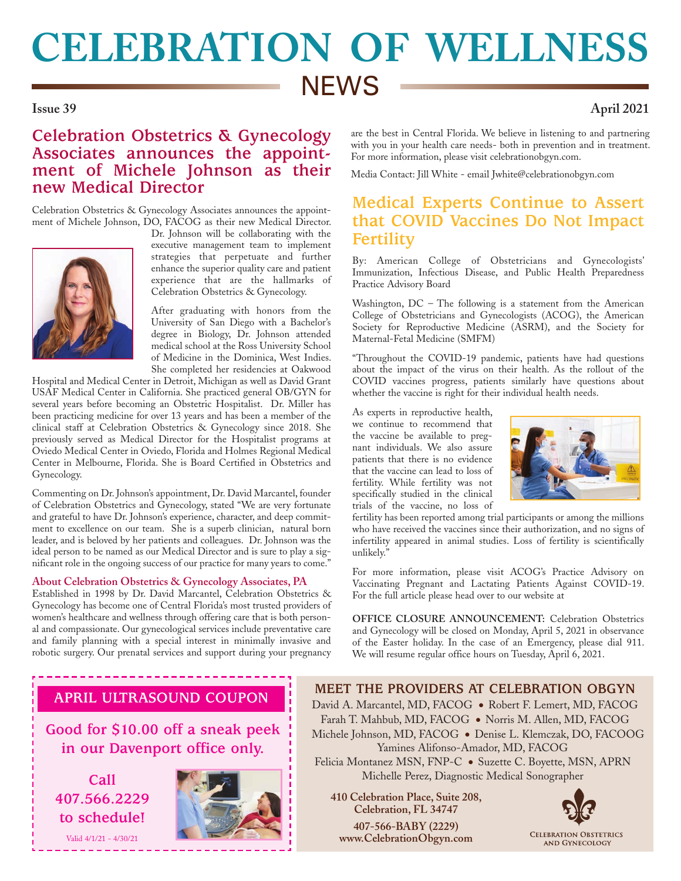# **CELEBRATION OF WELLNESS NEWS**

#### **Issue 39 April 2021**

## **Celebration Obstetrics & Gynecology Associates announces the appoint- ment of Michele Johnson as their new Medical Director**

Celebration Obstetrics & Gynecology Associates announces the appointment of Michele Johnson, DO, FACOG as their new Medical Director.



Dr. Johnson will be collaborating with the executive management team to implement strategies that perpetuate and further enhance the superior quality care and patient experience that are the hallmarks of Celebration Obstetrics & Gynecology.

After graduating with honors from the University of San Diego with a Bachelor's degree in Biology, Dr. Johnson attended medical school at the Ross University School of Medicine in the Dominica, West Indies. She completed her residencies at Oakwood

Hospital and Medical Center in Detroit, Michigan as well as David Grant USAF Medical Center in California. She practiced general OB/GYN for several years before becoming an Obstetric Hospitalist. Dr. Miller has been practicing medicine for over 13 years and has been a member of the clinical staff at Celebration Obstetrics & Gynecology since 2018. She previously served as Medical Director for the Hospitalist programs at Oviedo Medical Center in Oviedo, Florida and Holmes Regional Medical Center in Melbourne, Florida. She is Board Certified in Obstetrics and Gynecology.

Commenting on Dr. Johnson's appointment, Dr. David Marcantel, founder of Celebration Obstetrics and Gynecology, stated "We are very fortunate and grateful to have Dr. Johnson's experience, character, and deep commitment to excellence on our team. She is a superb clinician, natural born leader, and is beloved by her patients and colleagues. Dr. Johnson was the ideal person to be named as our Medical Director and is sure to play a significant role in the ongoing success of our practice for many years to come."

#### **About Celebration Obstetrics & Gynecology Associates, PA**

Established in 1998 by Dr. David Marcantel, Celebration Obstetrics & Gynecology has become one of Central Florida's most trusted providers of women's healthcare and wellness through offering care that is both personal and compassionate. Our gynecological services include preventative care and family planning with a special interest in minimally invasive and robotic surgery. Our prenatal services and support during your pregnancy

are the best in Central Florida. We believe in listening to and partnering with you in your health care needs- both in prevention and in treatment. For more information, please visit celebrationobgyn.com.

Media Contact: Jill White - email Jwhite@celebrationobgyn.com

### **Medical Experts Continue to Assert that COVID Vaccines Do Not Impact Fertility**

By: American College of Obstetricians and Gynecologists' Immunization, Infectious Disease, and Public Health Preparedness Practice Advisory Board

Washington, DC – The following is a statement from the American College of Obstetricians and Gynecologists (ACOG), the American Society for Reproductive Medicine (ASRM), and the Society for Maternal-Fetal Medicine (SMFM)

"Throughout the COVID-19 pandemic, patients have had questions about the impact of the virus on their health. As the rollout of the COVID vaccines progress, patients similarly have questions about whether the vaccine is right for their individual health needs.

As experts in reproductive health, we continue to recommend that the vaccine be available to pregnant individuals. We also assure patients that there is no evidence that the vaccine can lead to loss of fertility. While fertility was not specifically studied in the clinical trials of the vaccine, no loss of



fertility has been reported among trial participants or among the millions who have received the vaccines since their authorization, and no signs of infertility appeared in animal studies. Loss of fertility is scientifically unlikely."

For more information, please visit ACOG's Practice Advisory on Vaccinating Pregnant and Lactating Patients Against COVID-19. For the full article please head over to our website at

**OFFICE CLOSURE ANNOUNCEMENT:** Celebration Obstetrics and Gynecology will be closed on Monday, April 5, 2021 in observance of the Easter holiday. In the case of an Emergency, please dial 911. We will resume regular office hours on Tuesday, April 6, 2021.

## **APRIL ULTRASOUND COUPON**

**Good for \$10.00 off a sneak peek in our Davenport office only.** 

**Call 407.566.2229 to schedule!**

Valid 4/1/21 - 4/30/21



**MEET THE PROVIDERS AT CELEBRATION OBGYN** David A. Marcantel, MD, FACOG ● Robert F. Lemert, MD, FACOG Farah T. Mahbub, MD, FACOG ● Norris M. Allen, MD, FACOG Michele Johnson, MD, FACOG ● Denise L. Klemczak, DO, FACOOG Yamines Alifonso-Amador, MD, FACOG Felicia Montanez MSN, FNP-C ● Suzette C. Boyette, MSN, APRN Michelle Perez, Diagnostic Medical Sonographer

 **410 Celebration Place, Suite 208, Celebration, FL 34747 407-566-BABY (2229) www.CelebrationObgyn.com**